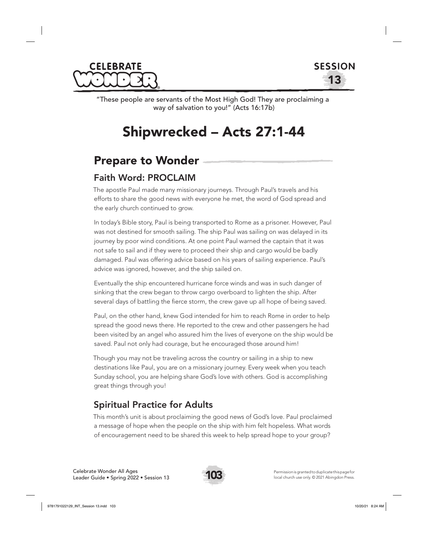



"These people are servants of the Most High God! They are proclaiming a way of salvation to you!" (Acts 16:17b)

# Shipwrecked – Acts 27:1-44

# Prepare to Wonder

# Faith Word: PROCLAIM

The apostle Paul made many missionary journeys. Through Paul's travels and his efforts to share the good news with everyone he met, the word of God spread and the early church continued to grow.

In today's Bible story, Paul is being transported to Rome as a prisoner. However, Paul was not destined for smooth sailing. The ship Paul was sailing on was delayed in its journey by poor wind conditions. At one point Paul warned the captain that it was not safe to sail and if they were to proceed their ship and cargo would be badly damaged. Paul was offering advice based on his years of sailing experience. Paul's advice was ignored, however, and the ship sailed on.

Eventually the ship encountered hurricane force winds and was in such danger of sinking that the crew began to throw cargo overboard to lighten the ship. After several days of battling the fierce storm, the crew gave up all hope of being saved.

Paul, on the other hand, knew God intended for him to reach Rome in order to help spread the good news there. He reported to the crew and other passengers he had been visited by an angel who assured him the lives of everyone on the ship would be saved. Paul not only had courage, but he encouraged those around him!

Though you may not be traveling across the country or sailing in a ship to new destinations like Paul, you are on a missionary journey. Every week when you teach Sunday school, you are helping share God's love with others. God is accomplishing great things through you!

# Spiritual Practice for Adults

This month's unit is about proclaiming the good news of God's love. Paul proclaimed a message of hope when the people on the ship with him felt hopeless. What words of encouragement need to be shared this week to help spread hope to your group?

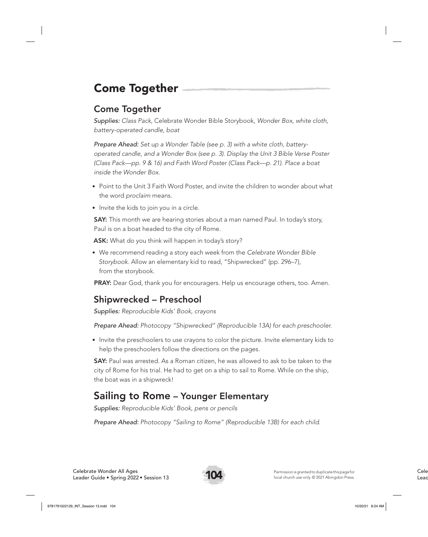# Come Together

# Come Together

*Supplies: Class Pack,* Celebrate Wonder Bible Storybook*, Wonder Box, white cloth, battery-operated candle, boat*

*Prepare Ahead: Set up a Wonder Table (see p. 3) with a white cloth, batteryoperated candle, and a Wonder Box (see p. 3). Display the Unit 3 Bible Verse Poster (Class Pack—pp. 9 & 16) and Faith Word Poster (Class Pack—p. 21). Place a boat inside the Wonder Box.* 

- Point to the Unit 3 Faith Word Poster, and invite the children to wonder about what the word *proclaim* means.
- Invite the kids to join you in a circle.

**SAY:** This month we are hearing stories about a man named Paul. In today's story, Paul is on a boat headed to the city of Rome.

ASK: What do you think will happen in today's story?

• We recommend reading a story each week from the *Celebrate Wonder Bible Storybook*. Allow an elementary kid to read, "Shipwrecked" (pp. 296–7), from the storybook.

PRAY: Dear God, thank you for encouragers. Help us encourage others, too. Amen.

# Shipwrecked – Preschool

*Supplies: Reproducible Kids' Book, crayons*

*Prepare Ahead: Photocopy "Shipwrecked" (Reproducible 13A) for each preschooler.*

• Invite the preschoolers to use crayons to color the picture. Invite elementary kids to help the preschoolers follow the directions on the pages.

**SAY:** Paul was arrested. As a Roman citizen, he was allowed to ask to be taken to the city of Rome for his trial. He had to get on a ship to sail to Rome. While on the ship, the boat was in a shipwreck!

# Sailing to Rome – Younger Elementary

*Supplies: Reproducible Kids' Book, pens or pencils*

*Prepare Ahead: Photocopy "Sailing to Rome" (Reproducible 13B) for each child.*

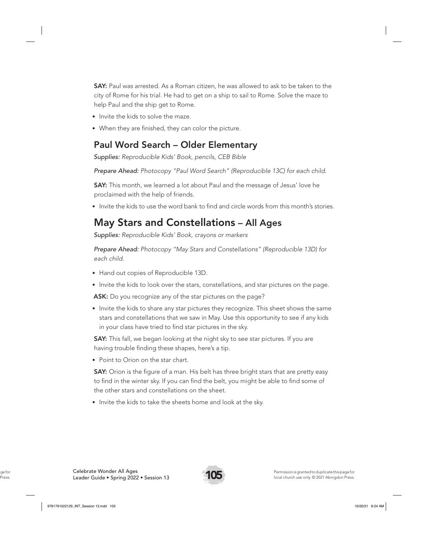**SAY:** Paul was arrested. As a Roman citizen, he was allowed to ask to be taken to the city of Rome for his trial. He had to get on a ship to sail to Rome. Solve the maze to help Paul and the ship get to Rome.

- Invite the kids to solve the maze.
- When they are finished, they can color the picture.

### Paul Word Search – Older Elementary

*Supplies: Reproducible Kids' Book, pencils, CEB Bible*

*Prepare Ahead: Photocopy "Paul Word Search" (Reproducible 13C) for each child.* 

SAY: This month, we learned a lot about Paul and the message of Jesus' love he proclaimed with the help of friends.

• Invite the kids to use the word bank to find and circle words from this month's stories.

# May Stars and Constellations – All Ages

*Supplies: Reproducible Kids' Book, crayons or markers*

*Prepare Ahead: Photocopy "May Stars and Constellations" (Reproducible 13D) for each child.* 

- Hand out copies of Reproducible 13D.
- Invite the kids to look over the stars, constellations, and star pictures on the page.

ASK: Do you recognize any of the star pictures on the page?

• Invite the kids to share any star pictures they recognize. This sheet shows the same stars and constellations that we saw in May. Use this opportunity to see if any kids in your class have tried to find star pictures in the sky.

**SAY:** This fall, we began looking at the night sky to see star pictures. If you are having trouble finding these shapes, here's a tip.

• Point to Orion on the star chart.

**SAY:** Orion is the figure of a man. His belt has three bright stars that are pretty easy to find in the winter sky. If you can find the belt, you might be able to find some of the other stars and constellations on the sheet.

• Invite the kids to take the sheets home and look at the sky.

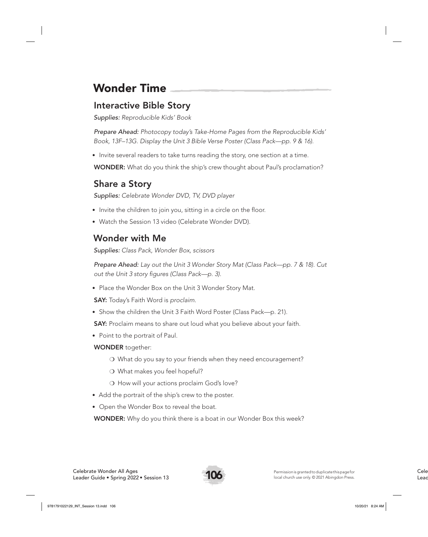# Wonder Time

## Interactive Bible Story

*Supplies: Reproducible Kids' Book* 

*Prepare Ahead: Photocopy today's Take-Home Pages from the Reproducible Kids' Book, 13F–13G. Display the Unit 3 Bible Verse Poster (Class Pack—pp. 9 & 16).*

• Invite several readers to take turns reading the story, one section at a time.

WONDER: What do you think the ship's crew thought about Paul's proclamation?

# Share a Story

*Supplies: Celebrate Wonder DVD, TV, DVD player*

- Invite the children to join you, sitting in a circle on the floor.
- Watch the Session 13 video (Celebrate Wonder DVD).

## Wonder with Me

*Supplies: Class Pack, Wonder Box, scissors*

*Prepare Ahead: Lay out the Unit 3 Wonder Story Mat (Class Pack—pp. 7 & 18). Cut out the Unit 3 story figures (Class Pack—p. 3).* 

• Place the Wonder Box on the Unit 3 Wonder Story Mat.

SAY: Today's Faith Word is *proclaim*.

• Show the children the Unit 3 Faith Word Poster (Class Pack—p. 21).

SAY: Proclaim means to share out loud what you believe about your faith.

• Point to the portrait of Paul.

#### WONDER together:

- ❍ What do you say to your friends when they need encouragement?
- ❍ What makes you feel hopeful?
- ❍ How will your actions proclaim God's love?
- Add the portrait of the ship's crew to the poster.
- Open the Wonder Box to reveal the boat.

**WONDER:** Why do you think there is a boat in our Wonder Box this week?

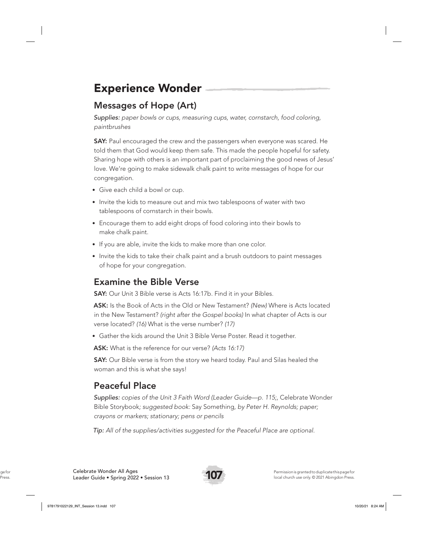# Experience Wonder

# Messages of Hope (Art)

*Supplies: paper bowls or cups, measuring cups, water, cornstarch, food coloring, paintbrushes*

**SAY:** Paul encouraged the crew and the passengers when everyone was scared. He told them that God would keep them safe. This made the people hopeful for safety. Sharing hope with others is an important part of proclaiming the good news of Jesus' love. We're going to make sidewalk chalk paint to write messages of hope for our congregation.

- Give each child a bowl or cup.
- Invite the kids to measure out and mix two tablespoons of water with two tablespoons of cornstarch in their bowls.
- Encourage them to add eight drops of food coloring into their bowls to make chalk paint.
- If you are able, invite the kids to make more than one color.
- Invite the kids to take their chalk paint and a brush outdoors to paint messages of hope for your congregation.

# Examine the Bible Verse

**SAY:** Our Unit 3 Bible verse is Acts 16:17b. Find it in your Bibles.

ASK: Is the Book of Acts in the Old or New Testament? *(New)* Where is Acts located in the New Testament? *(right after the Gospel books)* In what chapter of Acts is our verse located? *(16)* What is the verse number? *(17)*

• Gather the kids around the Unit 3 Bible Verse Poster. Read it together.

ASK: What is the reference for our verse? *(Acts 16:17)*

**SAY:** Our Bible verse is from the story we heard today. Paul and Silas healed the woman and this is what she says!

# Peaceful Place

*Supplies: copies of the Unit 3 Faith Word (Leader Guide—p. 115;,* Celebrate Wonder Bible Storybook*; suggested book:* Say Something*, by Peter H. Reynolds; paper; crayons or markers; stationary; pens or pencils*

*Tip: All of the supplies/activities suggested for the Peaceful Place are optional.*

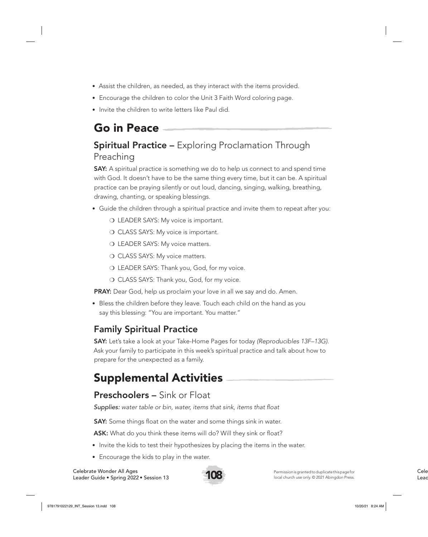- Assist the children, as needed, as they interact with the items provided.
- Encourage the children to color the Unit 3 Faith Word coloring page.
- Invite the children to write letters like Paul did.

# Go in Peace

# **Spiritual Practice –** Exploring Proclamation Through Preaching

**SAY:** A spiritual practice is something we do to help us connect to and spend time with God. It doesn't have to be the same thing every time, but it can be. A spiritual practice can be praying silently or out loud, dancing, singing, walking, breathing, drawing, chanting, or speaking blessings.

- Guide the children through a spiritual practice and invite them to repeat after you:
	- O LEADER SAYS: My voice is important.
	- O CLASS SAYS: My voice is important.
	- O LEADER SAYS: My voice matters.
	- O CLASS SAYS: My voice matters.
	- ❍ LEADER SAYS: Thank you, God, for my voice.
	- O CLASS SAYS: Thank you, God, for my voice.

PRAY: Dear God, help us proclaim your love in all we say and do. Amen.

• Bless the children before they leave. Touch each child on the hand as you say this blessing: "You are important. You matter."

## Family Spiritual Practice

SAY: Let's take a look at your Take-Home Pages for today *(Reproducibles 13F–13G)*. Ask your family to participate in this week's spiritual practice and talk about how to prepare for the unexpected as a family.

# Supplemental Activities

## Preschoolers – Sink or Float

*Supplies: water table or bin, water, items that sink, items that float*

**SAY:** Some things float on the water and some things sink in water.

ASK: What do you think these items will do? Will they sink or float?

- Invite the kids to test their hypothesizes by placing the items in the water.
- Encourage the kids to play in the water.

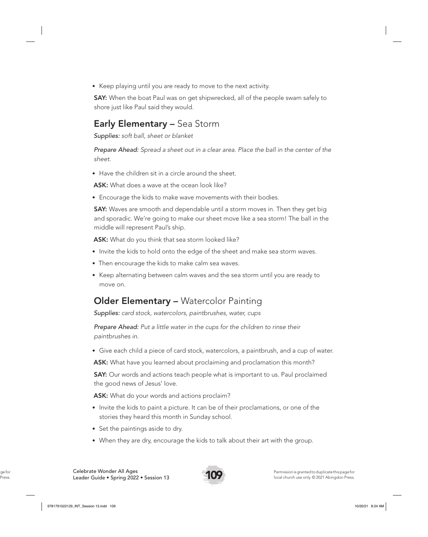• Keep playing until you are ready to move to the next activity.

**SAY:** When the boat Paul was on get shipwrecked, all of the people swam safely to shore just like Paul said they would.

### Early Elementary – Sea Storm

*Supplies: soft ball, sheet or blanket*

*Prepare Ahead: Spread a sheet out in a clear area. Place the ball in the center of the sheet.*

• Have the children sit in a circle around the sheet.

ASK: What does a wave at the ocean look like?

• Encourage the kids to make wave movements with their bodies.

**SAY:** Waves are smooth and dependable until a storm moves in. Then they get big and sporadic. We're going to make our sheet move like a sea storm! The ball in the middle will represent Paul's ship.

ASK: What do you think that sea storm looked like?

- Invite the kids to hold onto the edge of the sheet and make sea storm waves.
- Then encourage the kids to make calm sea waves.
- Keep alternating between calm waves and the sea storm until you are ready to move on.

### Older Elementary – Watercolor Painting

*Supplies: card stock, watercolors, paintbrushes, water, cups*

*Prepare Ahead: Put a little water in the cups for the children to rinse their paintbrushes in.* 

• Give each child a piece of card stock, watercolors, a paintbrush, and a cup of water.

ASK: What have you learned about proclaiming and proclamation this month?

**SAY:** Our words and actions teach people what is important to us. Paul proclaimed the good news of Jesus' love.

ASK: What do your words and actions proclaim?

- Invite the kids to paint a picture. It can be of their proclamations, or one of the stories they heard this month in Sunday school.
- Set the paintings aside to dry.
- When they are dry, encourage the kids to talk about their art with the group.